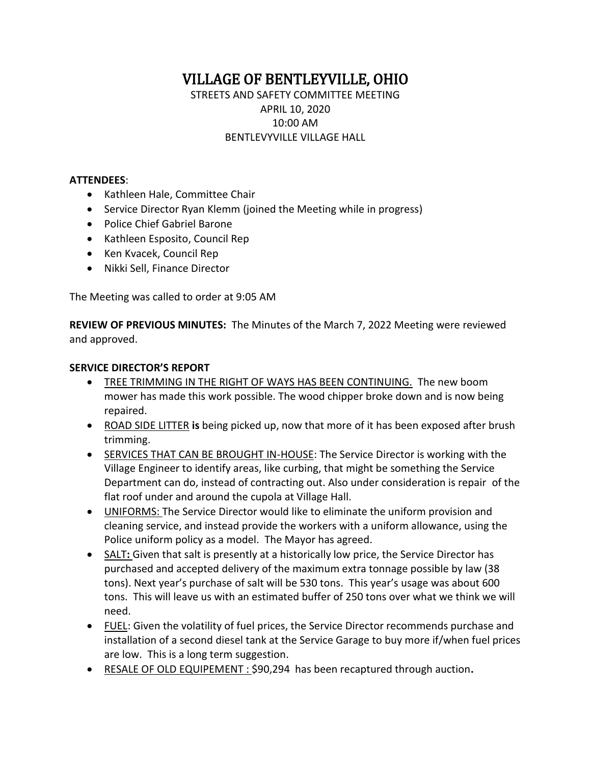VILLAGE OF BENTLEYVILLE, OHIO STREETS AND SAFETY COMMITTEE MEETING APRIL 10, 2020 10:00 AM BENTLEVYVILLE VILLAGE HALL

### **ATTENDEES**:

- Kathleen Hale, Committee Chair
- Service Director Ryan Klemm (joined the Meeting while in progress)
- Police Chief Gabriel Barone
- Kathleen Esposito, Council Rep
- Ken Kvacek, Council Rep
- Nikki Sell, Finance Director

The Meeting was called to order at 9:05 AM

**REVIEW OF PREVIOUS MINUTES:** The Minutes of the March 7, 2022 Meeting were reviewed and approved.

#### **SERVICE DIRECTOR'S REPORT**

- TREE TRIMMING IN THE RIGHT OF WAYS HAS BEEN CONTINUING. The new boom mower has made this work possible. The wood chipper broke down and is now being repaired.
- ROAD SIDE LITTER **is** being picked up, now that more of it has been exposed after brush trimming.
- SERVICES THAT CAN BE BROUGHT IN-HOUSE: The Service Director is working with the Village Engineer to identify areas, like curbing, that might be something the Service Department can do, instead of contracting out. Also under consideration is repair of the flat roof under and around the cupola at Village Hall.
- UNIFORMS: The Service Director would like to eliminate the uniform provision and cleaning service, and instead provide the workers with a uniform allowance, using the Police uniform policy as a model. The Mayor has agreed.
- SALT**:** Given that salt is presently at a historically low price, the Service Director has purchased and accepted delivery of the maximum extra tonnage possible by law (38 tons). Next year's purchase of salt will be 530 tons. This year's usage was about 600 tons. This will leave us with an estimated buffer of 250 tons over what we think we will need.
- FUEL: Given the volatility of fuel prices, the Service Director recommends purchase and installation of a second diesel tank at the Service Garage to buy more if/when fuel prices are low. This is a long term suggestion.
- RESALE OF OLD EQUIPEMENT : \$90,294 has been recaptured through auction**.**